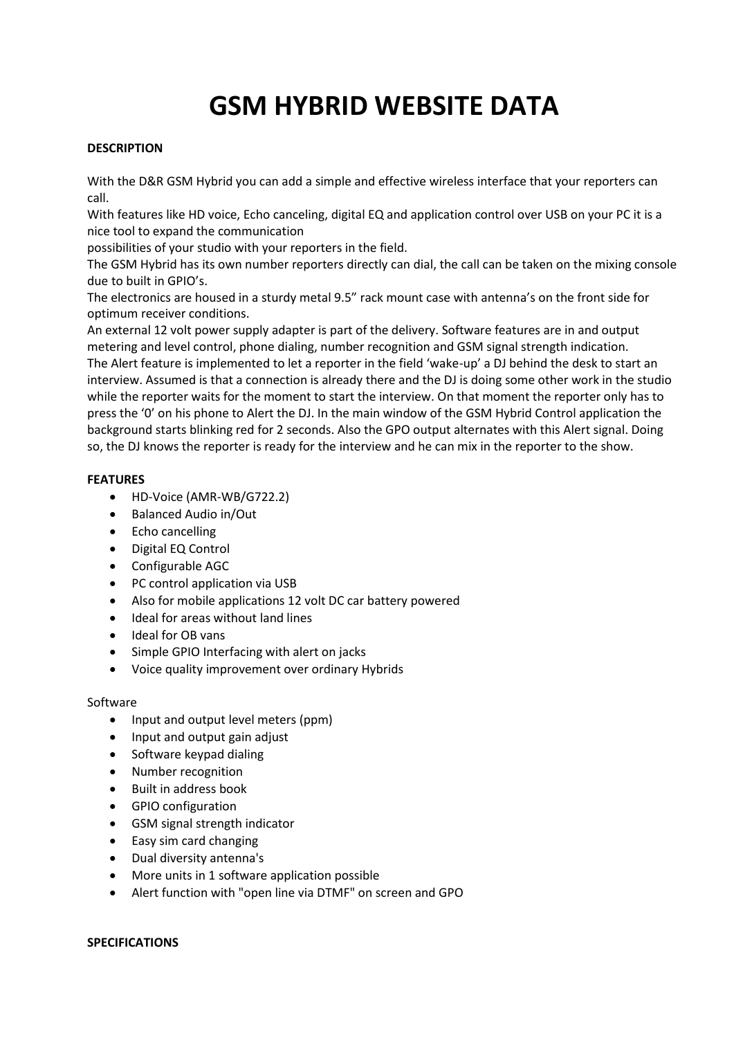# **GSM HYBRID WEBSITE DATA**

# **DESCRIPTION**

With the D&R GSM Hybrid you can add a simple and effective wireless interface that your reporters can call.

With features like HD voice, Echo canceling, digital EQ and application control over USB on your PC it is a nice tool to expand the communication

possibilities of your studio with your reporters in the field.

The GSM Hybrid has its own number reporters directly can dial, the call can be taken on the mixing console due to built in GPIO's.

The electronics are housed in a sturdy metal 9.5" rack mount case with antenna's on the front side for optimum receiver conditions.

An external 12 volt power supply adapter is part of the delivery. Software features are in and output metering and level control, phone dialing, number recognition and GSM signal strength indication. The Alert feature is implemented to let a reporter in the field 'wake-up' a DJ behind the desk to start an interview. Assumed is that a connection is already there and the DJ is doing some other work in the studio while the reporter waits for the moment to start the interview. On that moment the reporter only has to press the '0' on his phone to Alert the DJ. In the main window of the GSM Hybrid Control application the background starts blinking red for 2 seconds. Also the GPO output alternates with this Alert signal. Doing so, the DJ knows the reporter is ready for the interview and he can mix in the reporter to the show.

# **FEATURES**

- HD-Voice (AMR-WB/G722.2)
- Balanced Audio in/Out
- Echo cancelling
- Digital EQ Control
- Configurable AGC
- PC control application via USB
- Also for mobile applications 12 volt DC car battery powered
- Ideal for areas without land lines
- Ideal for OB vans
- Simple GPIO Interfacing with alert on jacks
- Voice quality improvement over ordinary Hybrids

### Software

- Input and output level meters (ppm)
- Input and output gain adjust
- Software keypad dialing
- Number recognition
- Built in address book
- GPIO configuration
- GSM signal strength indicator
- Easy sim card changing
- Dual diversity antenna's
- More units in 1 software application possible
- Alert function with "open line via DTMF" on screen and GPO

# **SPECIFICATIONS**